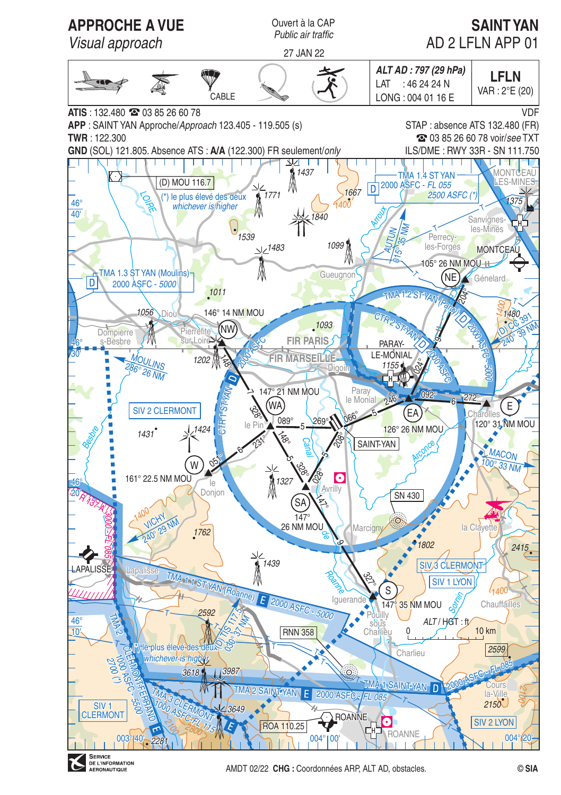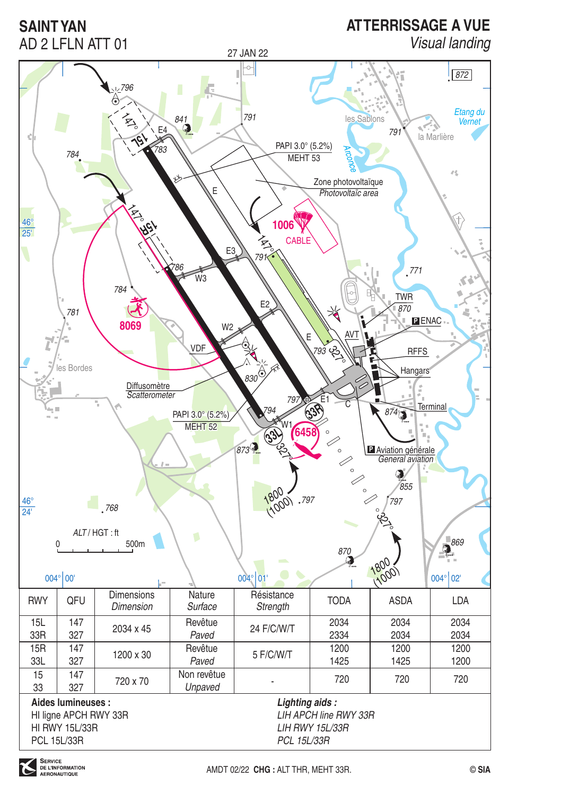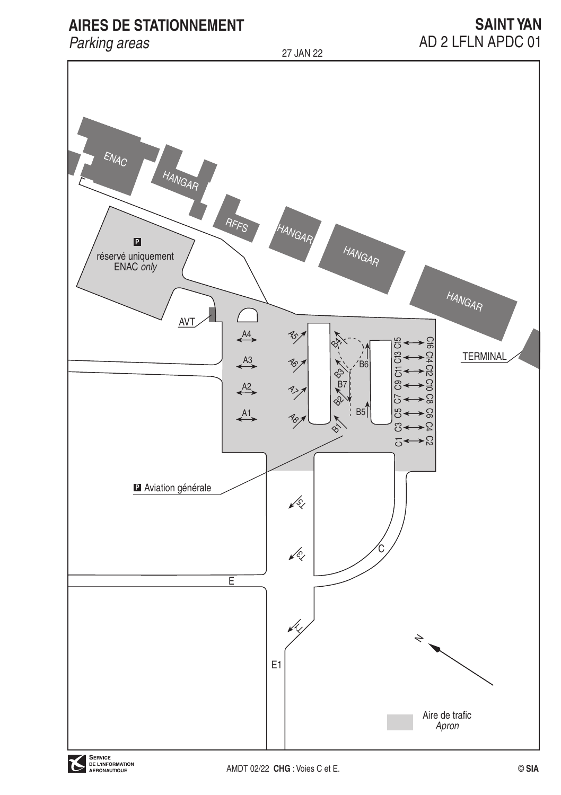# **AIRES DE STATIONNEMENT**

# Parking areas

27 JAN 22

# **SAINT YAN** AD 2 LFLN APDC 01

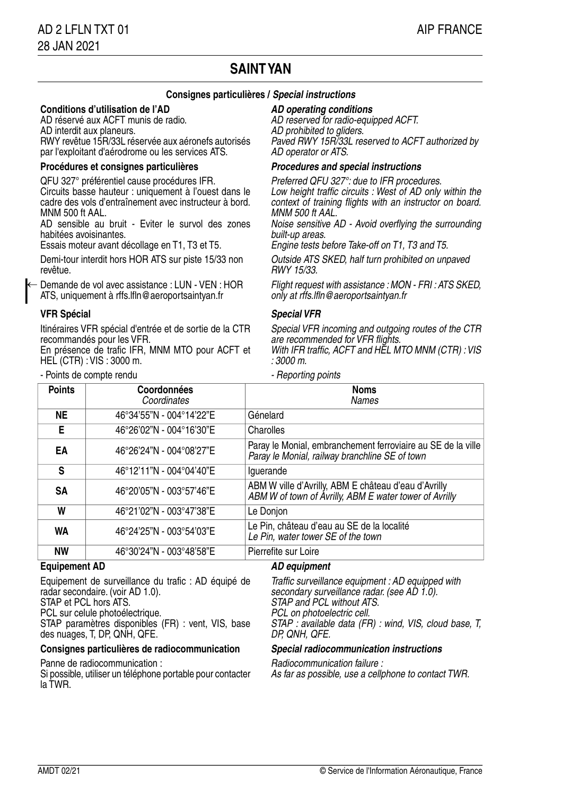## **SAINT YAN**

### **Consignes particulières / Special instructions**

#### **Conditions d'utilisation de l'AD**

AD réservé aux ACFT munis de radio. AD interdit aux planeurs. RWY revêtue 15R/33L réservée aux aéronefs autorisés par l'exploitant d'aérodrome ou les services ATS.

#### **Procédures et consignes particulières Procedures and special instructions**

QFU 327° préférentiel cause procédures IFR. Circuits basse hauteur : uniquement à l'ouest dans le cadre des vols d'entraînement avec instructeur à bord. MNM 500 ft AAL

AD sensible au bruit - Eviter le survol des zones habitées avoisinantes.

Essais moteur avant décollage en T1, T3 et T5.

Demi-tour interdit hors HOR ATS sur piste 15/33 non revêtue.

Demande de vol avec assistance : LUN - VEN : HOR ATS, uniquement à rffs.lfln@aeroportsaintyan.fr ←

### **VFR Spécial Special VFR**

Itinéraires VFR spécial d'entrée et de sortie de la CTR recommandés pour les VFR.

En présence de trafic IFR, MNM MTO pour ACFT et HEL (CTR) : VIS : 3000 m.

- Points de compte rendu

#### **AD operating conditions**

AD reserved for radio-equipped ACFT. AD prohibited to gliders. Paved RWY 15R/33L reserved to ACFT authorized by AD operator or ATS.

Preferred QFU 327°: due to IFR procedures. Low height traffic circuits : West of AD only within the context of training flights with an instructor on board. MNM 500 ft AAL

Noise sensitive AD - Avoid overflying the surrounding built-up areas.

Engine tests before Take-off on T1, T3 and T5.

Outside ATS SKED, half turn prohibited on unpaved RWY 15/33.

Flight request with assistance : MON - FRI : ATS SKED, only at rffs.lfln@aeroportsaintyan.fr

Special VFR incoming and outgoing routes of the CTR are recommended for VFR flights. With IFR traffic, ACFT and HEL MTO MNM (CTR): VIS

 $.3000 \; m$ 

| <b>Points</b> | Coordonnées<br>Coordinates | <b>Noms</b><br><b>Names</b>                                                                                    |
|---------------|----------------------------|----------------------------------------------------------------------------------------------------------------|
| NE            | 46°34'55"N - 004°14'22"E   | Génelard                                                                                                       |
| Е             | 46°26'02"N - 004°16'30"E   | Charolles                                                                                                      |
| ΕA            | 46°26'24"N - 004°08'27"E   | Paray le Monial, embranchement ferroviaire au SE de la ville<br>Paray le Monial, railway branchline SE of town |
| s             | 46°12'11"N - 004°04'40"E   | lquerande                                                                                                      |
| SΑ            | 46°20'05"N - 003°57'46"E   | ABM W ville d'Avrilly, ABM E château d'eau d'Avrilly<br>ABM W of town of Avrilly, ABM E water tower of Avrilly |
| W             | 46°21'02"N - 003°47'38"E   | Le Donjon                                                                                                      |
| WA            | 46°24'25"N - 003°54'03"E   | Le Pin, château d'eau au SE de la localité<br>Le Pin, water tower SE of the town                               |
| <b>NW</b>     | 46°30'24"N - 003°48'58"E   | Pierrefite sur Loire                                                                                           |

#### **Equipement AD AD equipment**

Equipement de surveillance du trafic : AD équipé de radar secondaire. (voir AD 1.0). STAP et PCL hors ATS.

PCL sur celule photoélectrique.

STAP paramètres disponibles (FR) : vent, VIS, base des nuages, T, DP, QNH, QFE.

### **Consignes particulières de radiocommunication Special radiocommunication instructions**

Panne de radiocommunication :

Si possible, utiliser un téléphone portable pour contacter la TWR.

Traffic surveillance equipment : AD equipped with secondary surveillance radar. (see AD 1.0). STAP and PCL without ATS. PCL on photoelectric cell. STAP : available data (FR) : wind, VIS, cloud base, T, DP, QNH, QFE.

Radiocommunication failure : As far as possible, use a cellphone to contact TWR.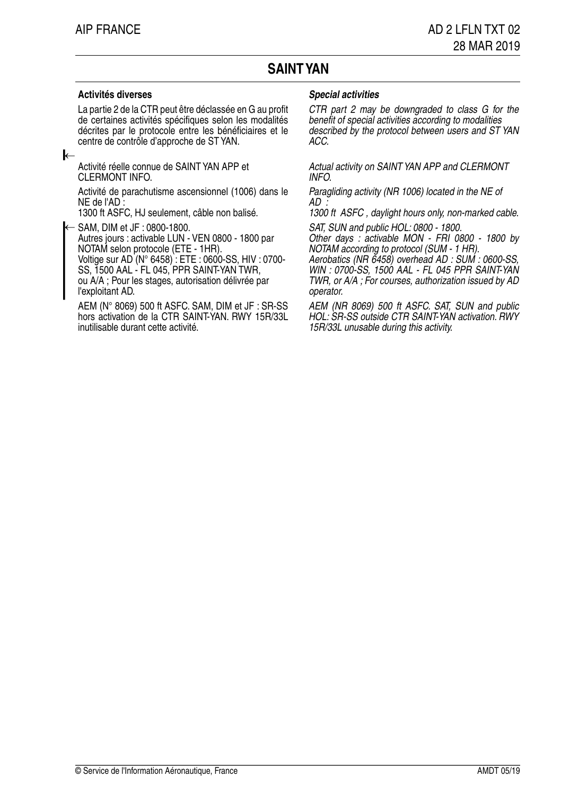## **SAINT YAN**

La partie 2 de la CTR peut être déclassée en G au profit de certaines activités spécifiques selon les modalités décrites par le protocole entre les bénéficiaires et le centre de contrôle d'approche de ST YAN.

#### ←

Activité réelle connue de SAINT YAN APP et CLERMONT INFO.

Activité de parachutisme ascensionnel (1006) dans le NE de l'AD :

1300 ft ASFC, HJ seulement, câble non balisé.

← SAM, DIM et JF : 0800-1800. Autres jours : activable LUN - VEN 0800 - 1800 par NOTAM selon protocole (ETE - 1HR). Voltige sur AD (N° 6458) : ETE : 0600-SS, HIV : 0700- SS, 1500 AAL - FL 045, PPR SAINT-YAN TWR, ou A/A ; Pour les stages, autorisation délivrée par l'exploitant AD.

AEM (N° 8069) 500 ft ASFC. SAM, DIM et JF : SR-SS hors activation de la CTR SAINT-YAN. RWY 15R/33L inutilisable durant cette activité.

### **Activités diverses Special activities**

CTR part 2 may be downgraded to class G for the benefit of special activities according to modalities described by the protocol between users and ST YAN ACC.

Actual activity on SAINT YAN APP and CLERMONT INFO.

Paragliding activity (NR 1006) located in the NE of  $AD$ :

1300 ft ASFC , daylight hours only, non-marked cable.

SAT, SUN and public HOL: 0800 - 1800.

Other days : activable MON - FRI 0800 - 1800 by NOTAM according to protocol (SUM - 1 HR).

Aerobatics (NR 6458) overhead AD : SUM : 0600-SS, WIN : 0700-SS, 1500 AAL - FL 045 PPR SAINT-YAN TWR, or A/A ; For courses, authorization issued by AD operator.

AEM (NR 8069) 500 ft ASFC. SAT, SUN and public HOL: SR-SS outside CTR SAINT-YAN activation. RWY 15R/33L unusable during this activity.